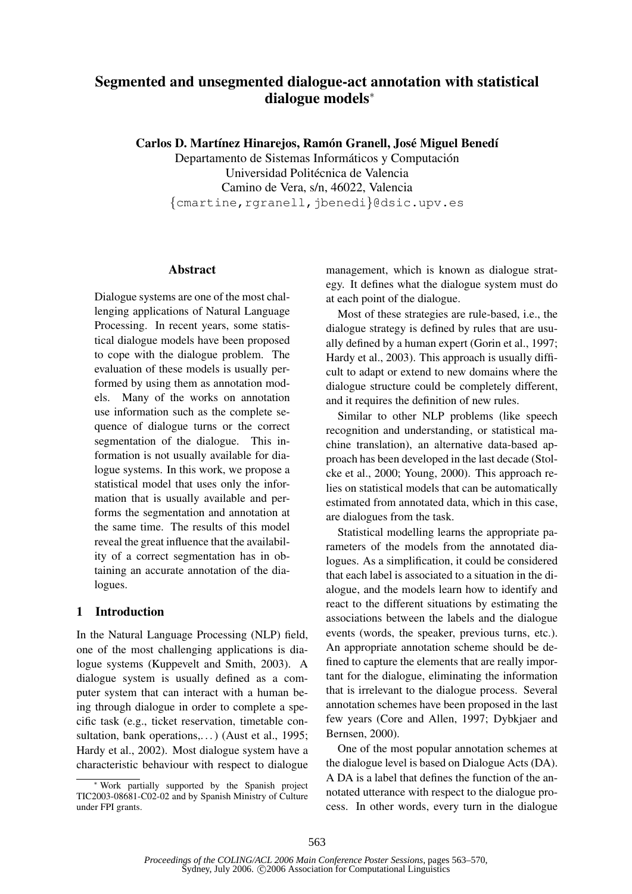# Segmented and unsegmented dialogue-act annotation with statistical dialogue models<sup>∗</sup>

Carlos D. Martínez Hinarejos, Ramón Granell, José Miguel Benedí

Departamento de Sistemas Informáticos y Computación Universidad Politécnica de Valencia Camino de Vera, s/n, 46022, Valencia {cmartine,rgranell,jbenedi}@dsic.upv.es

## **Abstract**

Dialogue systems are one of the most challenging applications of Natural Language Processing. In recent years, some statistical dialogue models have been proposed to cope with the dialogue problem. The evaluation of these models is usually performed by using them as annotation models. Many of the works on annotation use information such as the complete sequence of dialogue turns or the correct segmentation of the dialogue. This information is not usually available for dialogue systems. In this work, we propose a statistical model that uses only the information that is usually available and performs the segmentation and annotation at the same time. The results of this model reveal the great influence that the availability of a correct segmentation has in obtaining an accurate annotation of the dialogues.

## 1 Introduction

In the Natural Language Processing (NLP) field, one of the most challenging applications is dialogue systems (Kuppevelt and Smith, 2003). A dialogue system is usually defined as a computer system that can interact with a human being through dialogue in order to complete a specific task (e.g., ticket reservation, timetable consultation, bank operations,...) (Aust et al., 1995; Hardy et al., 2002). Most dialogue system have a characteristic behaviour with respect to dialogue

management, which is known as dialogue strategy. It defines what the dialogue system must do at each point of the dialogue.

Most of these strategies are rule-based, i.e., the dialogue strategy is defined by rules that are usually defined by a human expert (Gorin et al., 1997; Hardy et al., 2003). This approach is usually difficult to adapt or extend to new domains where the dialogue structure could be completely different, and it requires the definition of new rules.

Similar to other NLP problems (like speech recognition and understanding, or statistical machine translation), an alternative data-based approach has been developed in the last decade (Stolcke et al., 2000; Young, 2000). This approach relies on statistical models that can be automatically estimated from annotated data, which in this case, are dialogues from the task.

Statistical modelling learns the appropriate parameters of the models from the annotated dialogues. As a simplification, it could be considered that each label is associated to a situation in the dialogue, and the models learn how to identify and react to the different situations by estimating the associations between the labels and the dialogue events (words, the speaker, previous turns, etc.). An appropriate annotation scheme should be defined to capture the elements that are really important for the dialogue, eliminating the information that is irrelevant to the dialogue process. Several annotation schemes have been proposed in the last few years (Core and Allen, 1997; Dybkjaer and Bernsen, 2000).

One of the most popular annotation schemes at the dialogue level is based on Dialogue Acts (DA). A DA is a label that defines the function of the annotated utterance with respect to the dialogue process. In other words, every turn in the dialogue

Work partially supported by the Spanish project TIC2003-08681-C02-02 and by Spanish Ministry of Culture under FPI grants.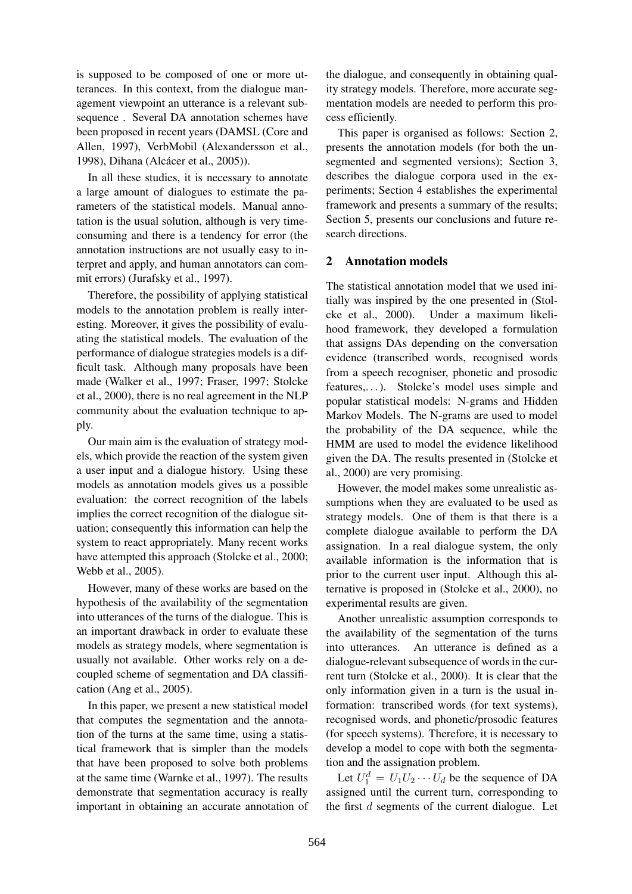is supposed to be composed of one or more utterances. In this context, from the dialogue management viewpoint an utterance is a relevant subsequence . Several DA annotation schemes have been proposed in recent years (DAMSL (Core and Allen, 1997), VerbMobil (Alexandersson et al., 1998), Dihana (Alcácer et al., 2005)).

In all these studies, it is necessary to annotate a large amount of dialogues to estimate the parameters of the statistical models. Manual annotation is the usual solution, although is very timeconsuming and there is a tendency for error (the annotation instructions are not usually easy to interpret and apply, and human annotators can commit errors) (Jurafsky et al., 1997).

Therefore, the possibility of applying statistical models to the annotation problem is really interesting. Moreover, it gives the possibility of evaluating the statistical models. The evaluation of the performance of dialogue strategies models is a difficult task. Although many proposals have been made (Walker et al., 1997; Fraser, 1997; Stolcke et al., 2000), there is no real agreement in the NLP community about the evaluation technique to apply.

Our main aim is the evaluation of strategy models, which provide the reaction of the system given a user input and a dialogue history. Using these models as annotation models gives us a possible evaluation: the correct recognition of the labels implies the correct recognition of the dialogue situation; consequently this information can help the system to react appropriately. Many recent works have attempted this approach (Stolcke et al., 2000; Webb et al., 2005).

However, many of these works are based on the hypothesis of the availability of the segmentation into utterances of the turns of the dialogue. This is an important drawback in order to evaluate these models as strategy models, where segmentation is usually not available. Other works rely on a decoupled scheme of segmentation and DA classification (Ang et al., 2005).

In this paper, we present a new statistical model that computes the segmentation and the annotation of the turns at the same time, using a statistical framework that is simpler than the models that have been proposed to solve both problems at the same time (Warnke et al., 1997). The results demonstrate that segmentation accuracy is really important in obtaining an accurate annotation of

the dialogue, and consequently in obtaining quality strategy models. Therefore, more accurate segmentation models are needed to perform this process efficiently.

This paper is organised as follows: Section 2, presents the annotation models (for both the unsegmented and segmented versions); Section 3, describes the dialogue corpora used in the experiments; Section 4 establishes the experimental framework and presents a summary of the results; Section 5, presents our conclusions and future research directions.

## 2 Annotation models

The statistical annotation model that we used initially was inspired by the one presented in (Stolcke et al., 2000). Under a maximum likelihood framework, they developed a formulation that assigns DAs depending on the conversation evidence (transcribed words, recognised words from a speech recogniser, phonetic and prosodic features,...). Stolcke's model uses simple and popular statistical models: N-grams and Hidden Markov Models. The N-grams are used to model the probability of the DA sequence, while the HMM are used to model the evidence likelihood given the DA. The results presented in (Stolcke et al., 2000) are very promising.

However, the model makes some unrealistic assumptions when they are evaluated to be used as strategy models. One of them is that there is a complete dialogue available to perform the DA assignation. In a real dialogue system, the only available information is the information that is prior to the current user input. Although this alternative is proposed in (Stolcke et al., 2000), no experimental results are given.

Another unrealistic assumption corresponds to the availability of the segmentation of the turns into utterances. An utterance is defined as a dialogue-relevant subsequence of words in the current turn (Stolcke et al., 2000). It is clear that the only information given in a turn is the usual information: transcribed words (for text systems), recognised words, and phonetic/prosodic features (for speech systems). Therefore, it is necessary to develop a model to cope with both the segmentation and the assignation problem.

Let  $U_1^d = U_1 U_2 \cdots U_d$  be the sequence of DA assigned until the current turn, corresponding to the first  $d$  segments of the current dialogue. Let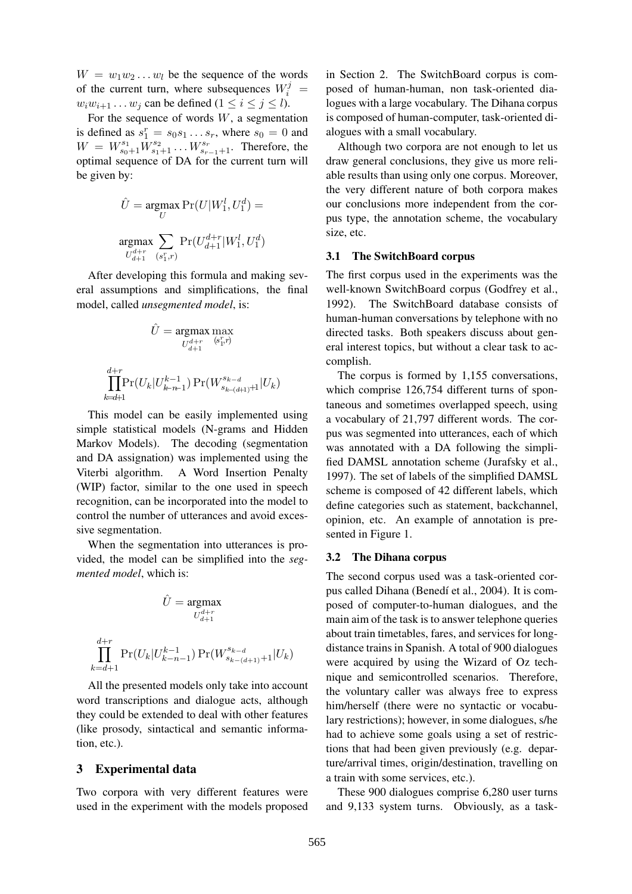$W = w_1 w_2 \dots w_l$  be the sequence of the words of the current turn, where subsequences  $W_i^j =$  $w_iw_{i+1} \dots w_j$  can be defined  $(1 \le i \le j \le l)$ .

For the sequence of words  $W$ , a segmentation is defined as  $s_1^r = s_0 s_1 \dots s_r$ , where  $s_0 = 0$  and  $W = W_{s_0+1}^{s_1} W_{s_1+1}^{s_2} \dots W_{s_{r-1}+1}^{s_r}$ . Therefore, the optimal sequence of DA for the current turn will be given by:

$$
\hat{U} = \underset{U}{\operatorname{argmax}} \Pr(U|W_1^l, U_1^d) =
$$
  

$$
\underset{U_{d+1}^{d+r}}{\operatorname{argmax}} \sum_{(s_1^r, r)} \Pr(U_{d+1}^{d+r}|W_1^l, U_1^d)
$$

After developing this formula and making several assumptions and simplifications, the final model, called *unsegmented model*, is:

$$
\hat{U} = \underset{U_{d+1}^{d+r}}{\text{argmax}} \max_{(s_1^r, r)} \n\prod_{k=d+1}^{d+r} \Pr(U_k | U_{k-n-1}^{k-1}) \Pr(W_{s_{k-(d+1)}+1}^{s_{k-d}} | U_k)
$$

This model can be easily implemented using simple statistical models (N-grams and Hidden Markov Models). The decoding (segmentation and DA assignation) was implemented using the Viterbi algorithm. A Word Insertion Penalty (WIP) factor, similar to the one used in speech recognition, can be incorporated into the model to control the number of utterances and avoid excessive segmentation.

When the segmentation into utterances is provided, the model can be simplified into the *segmented model*, which is:

$$
\hat{U} = \underset{U_{d+1}^{d+r}}{\text{argmax}} \quad
$$

$$
U_{d+1}^{d+r}
$$

$$
\prod_{k=d+1}^{d+r} \Pr(U_k | U_{k-n-1}^{k-1}) \Pr(W_{s_{k-(d+1)}+1}^{s_{k-d}} | U_k)
$$

All the presented models only take into account word transcriptions and dialogue acts, although they could be extended to deal with other features (like prosody, sintactical and semantic information, etc.).

#### 3 Experimental data

Two corpora with very different features were used in the experiment with the models proposed

in Section 2. The SwitchBoard corpus is composed of human-human, non task-oriented dialogues with a large vocabulary. The Dihana corpus is composed of human-computer, task-oriented dialogues with a small vocabulary.

Although two corpora are not enough to let us draw general conclusions, they give us more reliable results than using only one corpus. Moreover, the very different nature of both corpora makes our conclusions more independent from the corpus type, the annotation scheme, the vocabulary size, etc.

#### 3.1 The SwitchBoard corpus

The first corpus used in the experiments was the well-known SwitchBoard corpus (Godfrey et al., 1992). The SwitchBoard database consists of human-human conversations by telephone with no directed tasks. Both speakers discuss about general interest topics, but without a clear task to accomplish.

The corpus is formed by 1,155 conversations, which comprise 126,754 different turns of spontaneous and sometimes overlapped speech, using a vocabulary of 21,797 different words. The corpus was segmented into utterances, each of which was annotated with a DA following the simplified DAMSL annotation scheme (Jurafsky et al., 1997). The set of labels of the simplified DAMSL scheme is composed of 42 different labels, which define categories such as statement, backchannel, opinion, etc. An example of annotation is presented in Figure 1.

## 3.2 The Dihana corpus

The second corpus used was a task-oriented corpus called Dihana (Benedí et al., 2004). It is composed of computer-to-human dialogues, and the main aim of the task is to answer telephone queries about train timetables, fares, and services for longdistance trains in Spanish. A total of 900 dialogues were acquired by using the Wizard of Oz technique and semicontrolled scenarios. Therefore, the voluntary caller was always free to express him/herself (there were no syntactic or vocabulary restrictions); however, in some dialogues, s/he had to achieve some goals using a set of restrictions that had been given previously (e.g. departure/arrival times, origin/destination, travelling on a train with some services, etc.).

These 900 dialogues comprise 6,280 user turns and 9,133 system turns. Obviously, as a task-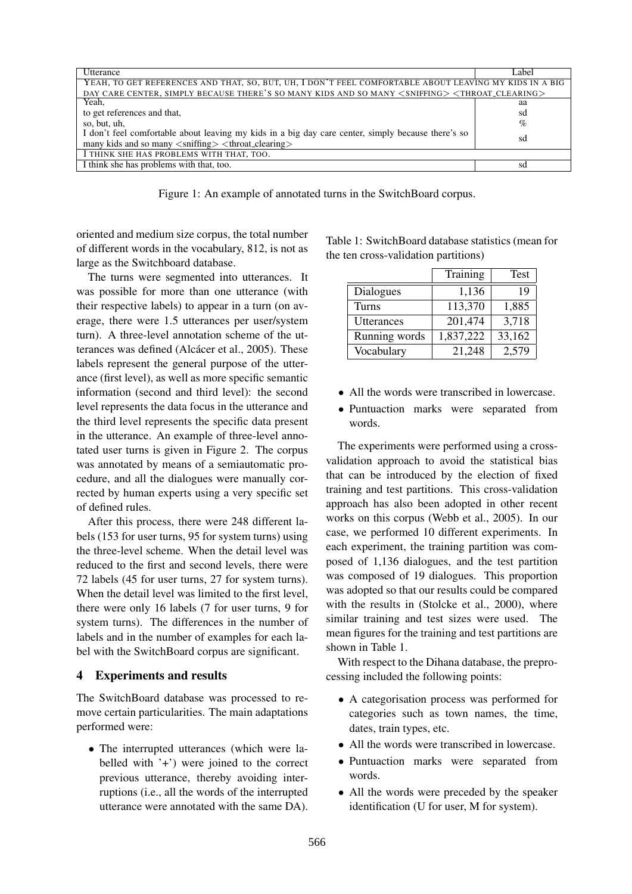| Utterance<br>Label<br>YEAH, TO GET REFERENCES AND THAT, SO, BUT, UH, I DON'T FEEL COMFORTABLE ABOUT LEAVING MY KIDS IN A BIG<br>DAY CARE CENTER, SIMPLY BECAUSE THERE'S SO MANY KIDS AND SO MANY <sniffing> <throat_clearing><br/>Yeah,<br/>aa<br/>to get references and that,<br/>sd<br/><math>\%</math><br/>so, but, uh,<br/>I don't feel comfortable about leaving my kids in a big day care center, simply because there's so<br/>sd<br/>many kids and so many <sniffing> <throat_clearing><br/>I THINK SHE HAS PROBLEMS WITH THAT, TOO.<br/>I think she has problems with that, too.<br/>sd</throat_clearing></sniffing></throat_clearing></sniffing> |  |
|------------------------------------------------------------------------------------------------------------------------------------------------------------------------------------------------------------------------------------------------------------------------------------------------------------------------------------------------------------------------------------------------------------------------------------------------------------------------------------------------------------------------------------------------------------------------------------------------------------------------------------------------------------|--|
|                                                                                                                                                                                                                                                                                                                                                                                                                                                                                                                                                                                                                                                            |  |
|                                                                                                                                                                                                                                                                                                                                                                                                                                                                                                                                                                                                                                                            |  |
|                                                                                                                                                                                                                                                                                                                                                                                                                                                                                                                                                                                                                                                            |  |
|                                                                                                                                                                                                                                                                                                                                                                                                                                                                                                                                                                                                                                                            |  |
|                                                                                                                                                                                                                                                                                                                                                                                                                                                                                                                                                                                                                                                            |  |
|                                                                                                                                                                                                                                                                                                                                                                                                                                                                                                                                                                                                                                                            |  |
|                                                                                                                                                                                                                                                                                                                                                                                                                                                                                                                                                                                                                                                            |  |
|                                                                                                                                                                                                                                                                                                                                                                                                                                                                                                                                                                                                                                                            |  |
|                                                                                                                                                                                                                                                                                                                                                                                                                                                                                                                                                                                                                                                            |  |

Figure 1: An example of annotated turns in the SwitchBoard corpus.

oriented and medium size corpus, the total number of different words in the vocabulary, 812, is not as large as the Switchboard database.

The turns were segmented into utterances. It was possible for more than one utterance (with their respective labels) to appear in a turn (on average, there were 1.5 utterances per user/system turn). A three-level annotation scheme of the utterances was defined (Alcácer et al., 2005). These labels represent the general purpose of the utterance (first level), as well as more specific semantic information (second and third level): the second level represents the data focus in the utterance and the third level represents the specific data present in the utterance. An example of three-level annotated user turns is given in Figure 2. The corpus was annotated by means of a semiautomatic procedure, and all the dialogues were manually corrected by human experts using a very specific set of defined rules.

After this process, there were 248 different labels (153 for user turns, 95 for system turns) using the three-level scheme. When the detail level was reduced to the first and second levels, there were 72 labels (45 for user turns, 27 for system turns). When the detail level was limited to the first level, there were only 16 labels (7 for user turns, 9 for system turns). The differences in the number of labels and in the number of examples for each label with the SwitchBoard corpus are significant.

#### 4 Experiments and results

The SwitchBoard database was processed to remove certain particularities. The main adaptations performed were:

• The interrupted utterances (which were labelled with '+') were joined to the correct previous utterance, thereby avoiding interruptions (i.e., all the words of the interrupted utterance were annotated with the same DA).

| Table 1: SwitchBoard database statistics (mean for |
|----------------------------------------------------|
| the ten cross-validation partitions)               |

|               | Training  | Test   |
|---------------|-----------|--------|
| Dialogues     | 1,136     | 19     |
| Turns         | 113,370   | 1,885  |
| Utterances    | 201,474   | 3,718  |
| Running words | 1,837,222 | 33,162 |
| Vocabulary    | 21,248    | 2,579  |

- All the words were transcribed in lowercase.
- Puntuaction marks were separated from words.

The experiments were performed using a crossvalidation approach to avoid the statistical bias that can be introduced by the election of fixed training and test partitions. This cross-validation approach has also been adopted in other recent works on this corpus (Webb et al., 2005). In our case, we performed 10 different experiments. In each experiment, the training partition was composed of 1,136 dialogues, and the test partition was composed of 19 dialogues. This proportion was adopted so that our results could be compared with the results in (Stolcke et al., 2000), where similar training and test sizes were used. The mean figures for the training and test partitions are shown in Table 1.

With respect to the Dihana database, the preprocessing included the following points:

- A categorisation process was performed for categories such as town names, the time, dates, train types, etc.
- All the words were transcribed in lowercase.
- Puntuaction marks were separated from words.
- All the words were preceded by the speaker identification (U for user, M for system).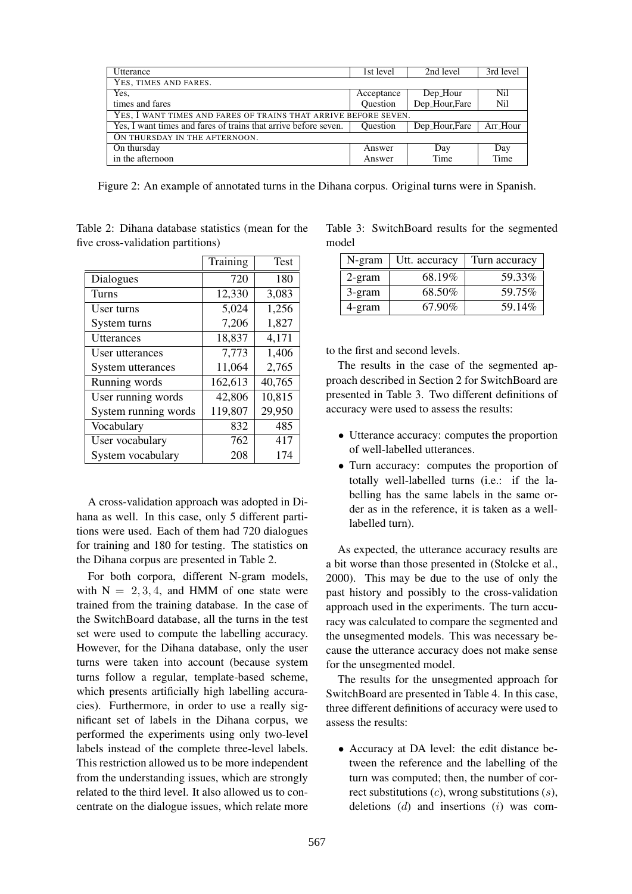| <b>Utterance</b>                                                | 1st level       | 2nd level     | 3rd level |
|-----------------------------------------------------------------|-----------------|---------------|-----------|
| YES, TIMES AND FARES.                                           |                 |               |           |
| Yes.                                                            | Acceptance      | Dep_Hour      | Nil       |
| times and fares                                                 | Ouestion        | Dep_Hour,Fare | Nil       |
| YES, I WANT TIMES AND FARES OF TRAINS THAT ARRIVE BEFORE SEVEN. |                 |               |           |
| Yes, I want times and fares of trains that arrive before seven. | <b>Ouestion</b> | Dep_Hour,Fare | Arr_Hour  |
| ON THURSDAY IN THE AFTERNOON.                                   |                 |               |           |
| On thursday                                                     | Answer          | Day           | Day       |
| in the afternoon                                                | Answer          | Time          | Time      |

Figure 2: An example of annotated turns in the Dihana corpus. Original turns were in Spanish.

|                      | Training | Test   |
|----------------------|----------|--------|
| Dialogues            | 720      | 180    |
| Turns                | 12,330   | 3,083  |
| User turns           | 5,024    | 1,256  |
| System turns         | 7,206    | 1,827  |
| <b>Utterances</b>    | 18,837   | 4,171  |
| User utterances      | 7,773    | 1,406  |
| System utterances    | 11,064   | 2,765  |
| Running words        | 162,613  | 40,765 |
| User running words   | 42,806   | 10,815 |
| System running words | 119,807  | 29,950 |
| Vocabulary           | 832      | 485    |
| User vocabulary      | 762      | 417    |
| System vocabulary    | 208      | 174    |

Table 2: Dihana database statistics (mean for the five cross-validation partitions)

A cross-validation approach was adopted in Dihana as well. In this case, only 5 different partitions were used. Each of them had 720 dialogues for training and 180 for testing. The statistics on the Dihana corpus are presented in Table 2.

For both corpora, different N-gram models, with  $N = 2, 3, 4$ , and HMM of one state were trained from the training database. In the case of the SwitchBoard database, all the turns in the test set were used to compute the labelling accuracy. However, for the Dihana database, only the user turns were taken into account (because system turns follow a regular, template-based scheme, which presents artificially high labelling accuracies). Furthermore, in order to use a really significant set of labels in the Dihana corpus, we performed the experiments using only two-level labels instead of the complete three-level labels. This restriction allowed us to be more independent from the understanding issues, which are strongly related to the third level. It also allowed us to concentrate on the dialogue issues, which relate more

Table 3: SwitchBoard results for the segmented model

| N-gram    | Utt. accuracy | Turn accuracy |
|-----------|---------------|---------------|
| $2$ -gram | 68.19%        | 59.33%        |
| 3-gram    | 68.50%        | 59.75%        |
| 4-gram    | 67.90%        | 59.14%        |

to the first and second levels.

The results in the case of the segmented approach described in Section 2 for SwitchBoard are presented in Table 3. Two different definitions of accuracy were used to assess the results:

- Utterance accuracy: computes the proportion of well-labelled utterances.
- Turn accuracy: computes the proportion of totally well-labelled turns (i.e.: if the labelling has the same labels in the same order as in the reference, it is taken as a welllabelled turn).

As expected, the utterance accuracy results are a bit worse than those presented in (Stolcke et al., 2000). This may be due to the use of only the past history and possibly to the cross-validation approach used in the experiments. The turn accuracy was calculated to compare the segmented and the unsegmented models. This was necessary because the utterance accuracy does not make sense for the unsegmented model.

The results for the unsegmented approach for SwitchBoard are presented in Table 4. In this case, three different definitions of accuracy were used to assess the results:

• Accuracy at DA level: the edit distance between the reference and the labelling of the turn was computed; then, the number of correct substitutions  $(c)$ , wrong substitutions  $(s)$ , deletions  $(d)$  and insertions  $(i)$  was com-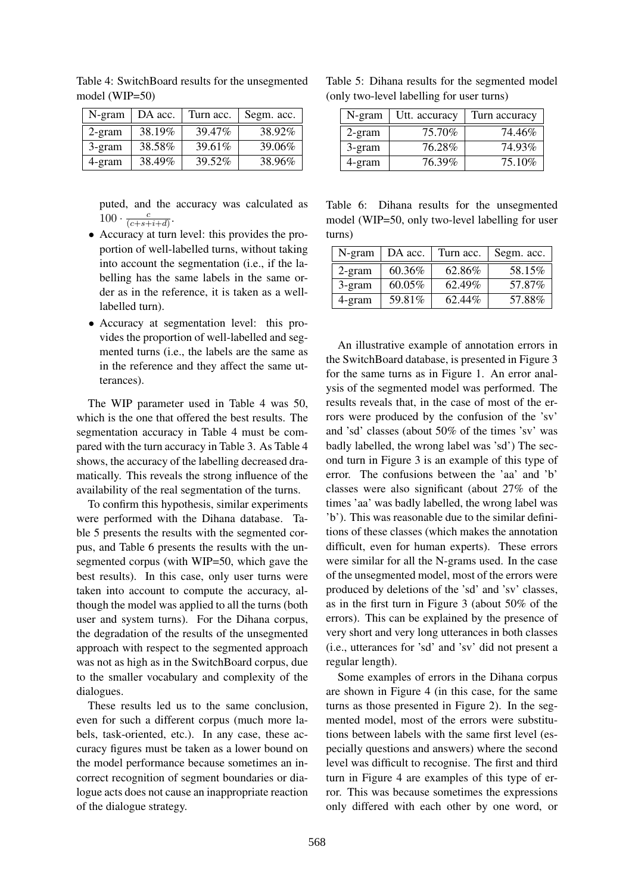| N-gram    | DA acc. | Turn acc. | Segm. acc. |
|-----------|---------|-----------|------------|
| $2$ -gram | 38.19%  | 39.47%    | 38.92%     |
| 3-gram    | 38.58%  | 39.61%    | 39.06%     |
| 4-gram    | 38.49%  | 39.52%    | 38.96%     |

Table 4: SwitchBoard results for the unsegmented model (WIP=50)

puted, and the accuracy was calculated as  $100 \cdot \frac{c}{(c+s+1)}$  $\frac{c}{(c+s+i+d)}$ .

- Accuracy at turn level: this provides the proportion of well-labelled turns, without taking into account the segmentation (i.e., if the labelling has the same labels in the same order as in the reference, it is taken as a welllabelled turn).
- Accuracy at segmentation level: this provides the proportion of well-labelled and segmented turns (i.e., the labels are the same as in the reference and they affect the same utterances).

The WIP parameter used in Table 4 was 50, which is the one that offered the best results. The segmentation accuracy in Table 4 must be compared with the turn accuracy in Table 3. As Table 4 shows, the accuracy of the labelling decreased dramatically. This reveals the strong influence of the availability of the real segmentation of the turns.

To confirm this hypothesis, similar experiments were performed with the Dihana database. Table 5 presents the results with the segmented corpus, and Table 6 presents the results with the unsegmented corpus (with WIP=50, which gave the best results). In this case, only user turns were taken into account to compute the accuracy, although the model was applied to all the turns (both user and system turns). For the Dihana corpus, the degradation of the results of the unsegmented approach with respect to the segmented approach was not as high as in the SwitchBoard corpus, due to the smaller vocabulary and complexity of the dialogues.

These results led us to the same conclusion, even for such a different corpus (much more labels, task-oriented, etc.). In any case, these accuracy figures must be taken as a lower bound on the model performance because sometimes an incorrect recognition of segment boundaries or dialogue acts does not cause an inappropriate reaction of the dialogue strategy.

Table 5: Dihana results for the segmented model (only two-level labelling for user turns)

| N-gram | Utt. accuracy | Turn accuracy |
|--------|---------------|---------------|
| 2-gram | 75.70%        | 74.46%        |
| 3-gram | 76.28%        | 74.93%        |
| 4-gram | 76.39%        | 75.10\%       |

Table 6: Dihana results for the unsegmented model (WIP=50, only two-level labelling for user turns)

| N-gram    | DA acc. | Turn acc. | Segm. acc. |
|-----------|---------|-----------|------------|
| $2$ -gram | 60.36%  | 62.86%    | 58.15%     |
| 3-gram    | 60.05%  | 62.49%    | 57.87%     |
| 4-gram    | 59.81%  | 62.44%    | 57.88%     |

An illustrative example of annotation errors in the SwitchBoard database, is presented in Figure 3 for the same turns as in Figure 1. An error analysis of the segmented model was performed. The results reveals that, in the case of most of the errors were produced by the confusion of the 'sv' and 'sd' classes (about 50% of the times 'sv' was badly labelled, the wrong label was 'sd') The second turn in Figure 3 is an example of this type of error. The confusions between the 'aa' and 'b' classes were also significant (about 27% of the times 'aa' was badly labelled, the wrong label was 'b'). This was reasonable due to the similar definitions of these classes (which makes the annotation difficult, even for human experts). These errors were similar for all the N-grams used. In the case of the unsegmented model, most of the errors were produced by deletions of the 'sd' and 'sv' classes, as in the first turn in Figure 3 (about 50% of the errors). This can be explained by the presence of very short and very long utterances in both classes (i.e., utterances for 'sd' and 'sv' did not present a regular length).

Some examples of errors in the Dihana corpus are shown in Figure 4 (in this case, for the same turns as those presented in Figure 2). In the segmented model, most of the errors were substitutions between labels with the same first level (especially questions and answers) where the second level was difficult to recognise. The first and third turn in Figure 4 are examples of this type of error. This was because sometimes the expressions only differed with each other by one word, or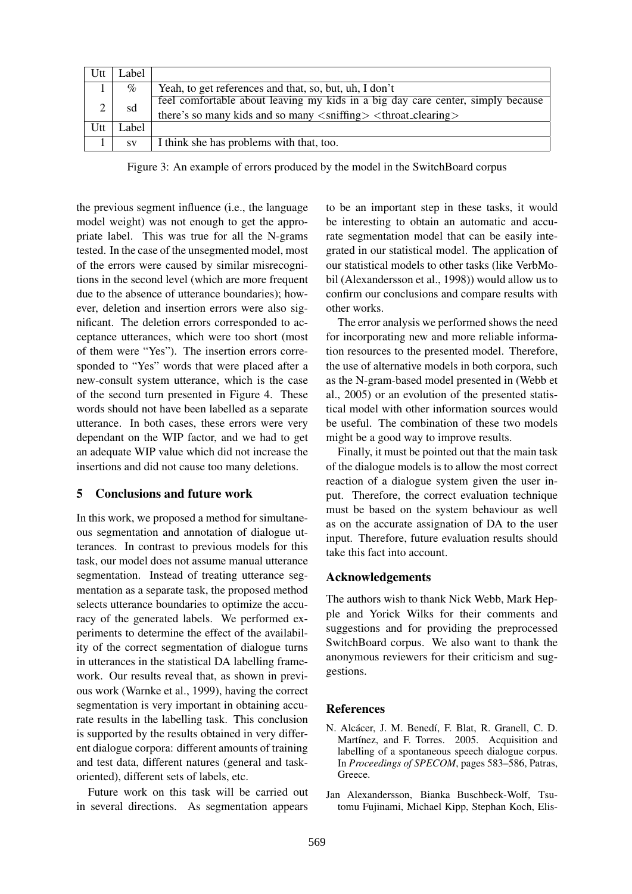| Utt | Label     |                                                                                                                                                                               |
|-----|-----------|-------------------------------------------------------------------------------------------------------------------------------------------------------------------------------|
|     | $\%$      | Yeah, to get references and that, so, but, uh, I don't                                                                                                                        |
|     | sd        | feel comfortable about leaving my kids in a big day care center, simply because<br>there's so many kids and so many <snifting> <throat_clearing></throat_clearing></snifting> |
|     |           |                                                                                                                                                                               |
| Utt | Label     |                                                                                                                                                                               |
|     | <b>SV</b> | I think she has problems with that, too.                                                                                                                                      |

Figure 3: An example of errors produced by the model in the SwitchBoard corpus

the previous segment influence (i.e., the language model weight) was not enough to get the appropriate label. This was true for all the N-grams tested. In the case of the unsegmented model, most of the errors were caused by similar misrecognitions in the second level (which are more frequent due to the absence of utterance boundaries); however, deletion and insertion errors were also significant. The deletion errors corresponded to acceptance utterances, which were too short (most of them were "Yes"). The insertion errors corresponded to "Yes" words that were placed after a new-consult system utterance, which is the case of the second turn presented in Figure 4. These words should not have been labelled as a separate utterance. In both cases, these errors were very dependant on the WIP factor, and we had to get an adequate WIP value which did not increase the insertions and did not cause too many deletions.

## 5 Conclusions and future work

In this work, we proposed a method for simultaneous segmentation and annotation of dialogue utterances. In contrast to previous models for this task, our model does not assume manual utterance segmentation. Instead of treating utterance segmentation as a separate task, the proposed method selects utterance boundaries to optimize the accuracy of the generated labels. We performed experiments to determine the effect of the availability of the correct segmentation of dialogue turns in utterances in the statistical DA labelling framework. Our results reveal that, as shown in previous work (Warnke et al., 1999), having the correct segmentation is very important in obtaining accurate results in the labelling task. This conclusion is supported by the results obtained in very different dialogue corpora: different amounts of training and test data, different natures (general and taskoriented), different sets of labels, etc.

Future work on this task will be carried out in several directions. As segmentation appears to be an important step in these tasks, it would be interesting to obtain an automatic and accurate segmentation model that can be easily integrated in our statistical model. The application of our statistical models to other tasks (like VerbMobil (Alexandersson et al., 1998)) would allow us to confirm our conclusions and compare results with other works.

The error analysis we performed shows the need for incorporating new and more reliable information resources to the presented model. Therefore, the use of alternative models in both corpora, such as the N-gram-based model presented in (Webb et al., 2005) or an evolution of the presented statistical model with other information sources would be useful. The combination of these two models might be a good way to improve results.

Finally, it must be pointed out that the main task of the dialogue models is to allow the most correct reaction of a dialogue system given the user input. Therefore, the correct evaluation technique must be based on the system behaviour as well as on the accurate assignation of DA to the user input. Therefore, future evaluation results should take this fact into account.

#### Acknowledgements

The authors wish to thank Nick Webb, Mark Hepple and Yorick Wilks for their comments and suggestions and for providing the preprocessed SwitchBoard corpus. We also want to thank the anonymous reviewers for their criticism and suggestions.

#### **References**

- N. Alcácer, J. M. Benedí, F. Blat, R. Granell, C. D. Martínez, and F. Torres. 2005. Acquisition and labelling of a spontaneous speech dialogue corpus. In *Proceedings of SPECOM*, pages 583–586, Patras, Greece.
- Jan Alexandersson, Bianka Buschbeck-Wolf, Tsutomu Fujinami, Michael Kipp, Stephan Koch, Elis-